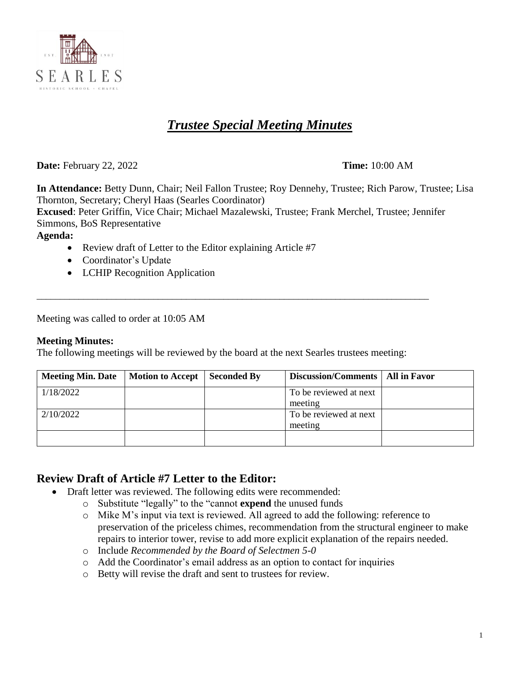

# *Trustee Special Meeting Minutes*

**Date:** February 22, 2022 **Time:** 10:00 AM

**In Attendance:** Betty Dunn, Chair; Neil Fallon Trustee; Roy Dennehy, Trustee; Rich Parow, Trustee; Lisa Thornton, Secretary; Cheryl Haas (Searles Coordinator)

**Excused**: Peter Griffin, Vice Chair; Michael Mazalewski, Trustee; Frank Merchel, Trustee; Jennifer Simmons, BoS Representative

**Agenda:**

- Review draft of Letter to the Editor explaining Article #7
- Coordinator's Update
- LCHIP Recognition Application

Meeting was called to order at 10:05 AM

#### **Meeting Minutes:**

The following meetings will be reviewed by the board at the next Searles trustees meeting:

\_\_\_\_\_\_\_\_\_\_\_\_\_\_\_\_\_\_\_\_\_\_\_\_\_\_\_\_\_\_\_\_\_\_\_\_\_\_\_\_\_\_\_\_\_\_\_\_\_\_\_\_\_\_\_\_\_\_\_\_\_\_\_\_\_\_\_\_\_\_\_\_\_\_\_\_\_\_\_\_\_\_\_\_

| <b>Meeting Min. Date</b> | Motion to Accept | Seconded By | Discussion/Comments   All in Favor |  |
|--------------------------|------------------|-------------|------------------------------------|--|
| 1/18/2022                |                  |             | To be reviewed at next             |  |
|                          |                  |             | meeting                            |  |
| 2/10/2022                |                  |             | To be reviewed at next             |  |
|                          |                  |             | meeting                            |  |
|                          |                  |             |                                    |  |

### **Review Draft of Article #7 Letter to the Editor:**

- Draft letter was reviewed. The following edits were recommended:
	- o Substitute "legally" to the "cannot **expend** the unused funds
	- o Mike M's input via text is reviewed. All agreed to add the following: reference to preservation of the priceless chimes, recommendation from the structural engineer to make repairs to interior tower, revise to add more explicit explanation of the repairs needed.
	- o Include *Recommended by the Board of Selectmen 5-0*
	- o Add the Coordinator's email address as an option to contact for inquiries
	- o Betty will revise the draft and sent to trustees for review.